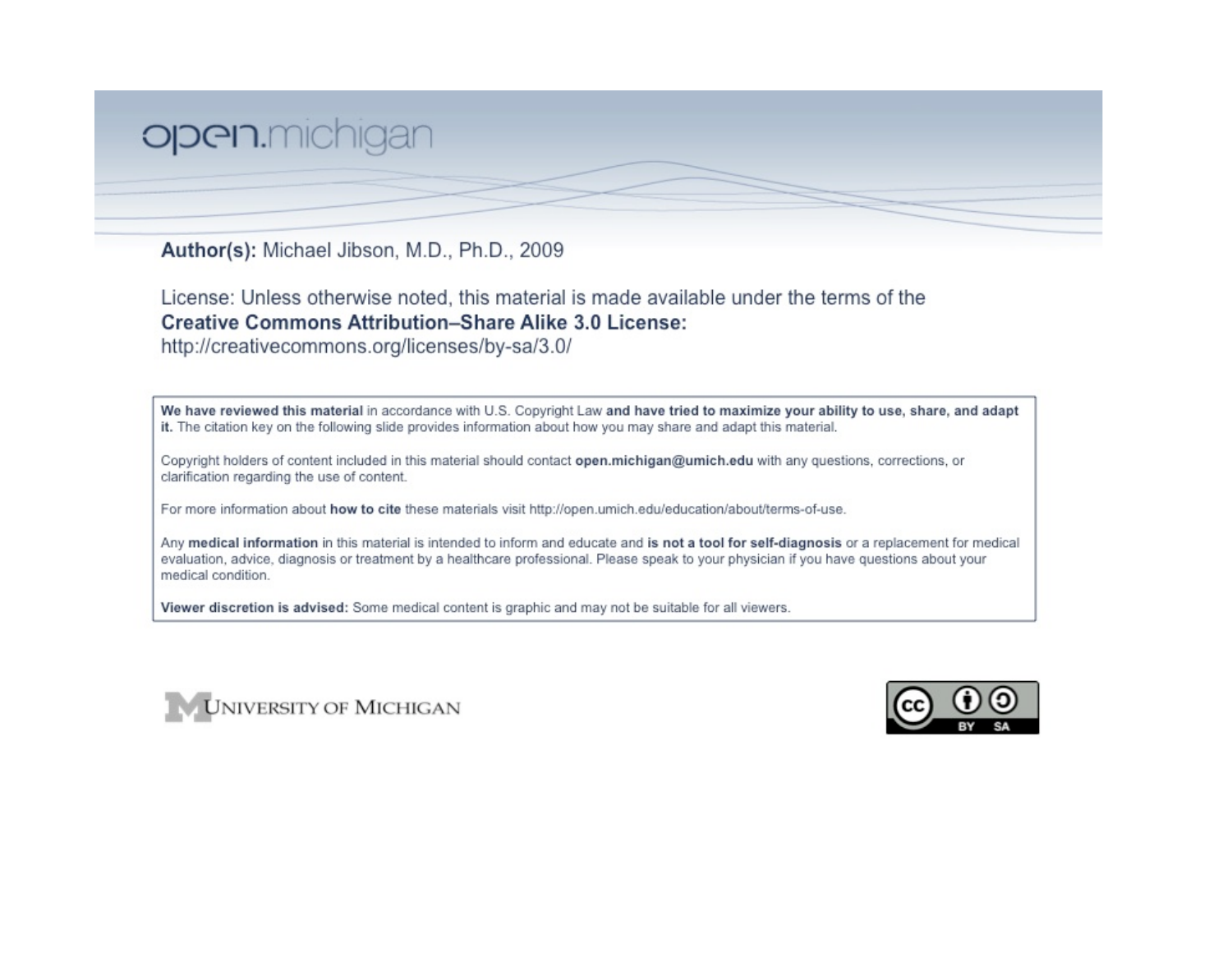## open.michigan

Author(s): Michael Jibson, M.D., Ph.D., 2009

License: Unless otherwise noted, this material is made available under the terms of the **Creative Commons Attribution-Share Alike 3.0 License:** 

http://creativecommons.org/licenses/by-sa/3.0/

We have reviewed this material in accordance with U.S. Copyright Law and have tried to maximize your ability to use, share, and adapt it. The citation key on the following slide provides information about how you may share and adapt this material.

Copyright holders of content included in this material should contact open.michigan@umich.edu with any questions, corrections, or clarification regarding the use of content.

For more information about how to cite these materials visit http://open.umich.edu/education/about/terms-of-use.

Any medical information in this material is intended to inform and educate and is not a tool for self-diagnosis or a replacement for medical evaluation, advice, diagnosis or treatment by a healthcare professional. Please speak to your physician if you have questions about your medical condition.

Viewer discretion is advised: Some medical content is graphic and may not be suitable for all viewers.



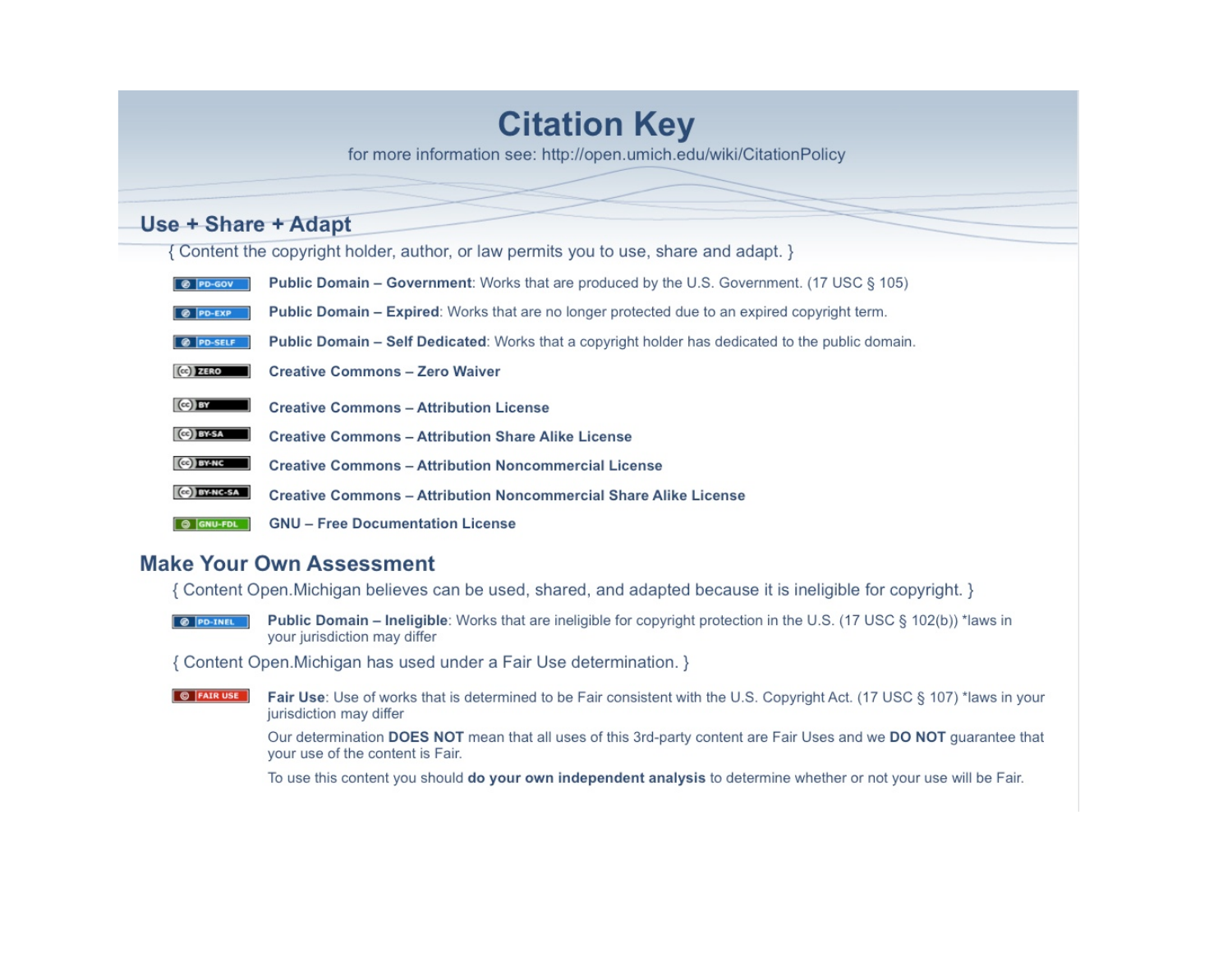# **Citation Key**

for more information see: http://open.umich.edu/wiki/CitationPolicy

## Use + Share + Adapt

{ Content the copyright holder, author, or law permits you to use, share and adapt. }

- **C** PD-GOV **Public Domain – Government:** Works that are produced by the U.S. Government. (17 USC § 105)
- Public Domain Expired: Works that are no longer protected due to an expired copyright term. @ PD-EXP
- @ PD-SELF Public Domain - Self Dedicated: Works that a copyright holder has dedicated to the public domain.
- $(Cc)$  ZERO **Creative Commons - Zero Waiver**
- $(c)$  BY **Creative Commons - Attribution License**
- Ce BY-SA **Creative Commons - Attribution Share Alike License**
- $(c)$  BY-NC **Creative Commons - Attribution Noncommercial License**
- **CO BY-NC-SA Creative Commons - Attribution Noncommercial Share Alike License**
- **GNU Free Documentation License**  $\boxed{\circledcirc}$   $\boxed{\mathsf{GNU-FDL}}$

## **Make Your Own Assessment**

{ Content Open. Michigan believes can be used, shared, and adapted because it is ineligible for copyright. }

**Public Domain – Ineligible:** Works that are ineligible for copyright protection in the U.S. (17 USC § 102(b)) \*laws in **O PD-INEL** your jurisdiction may differ

{ Content Open. Michigan has used under a Fair Use determination. }

**O** FAIR USE Fair Use: Use of works that is determined to be Fair consistent with the U.S. Copyright Act. (17 USC § 107) \*laws in your jurisdiction may differ

> Our determination DOES NOT mean that all uses of this 3rd-party content are Fair Uses and we DO NOT guarantee that your use of the content is Fair.

To use this content you should do your own independent analysis to determine whether or not your use will be Fair.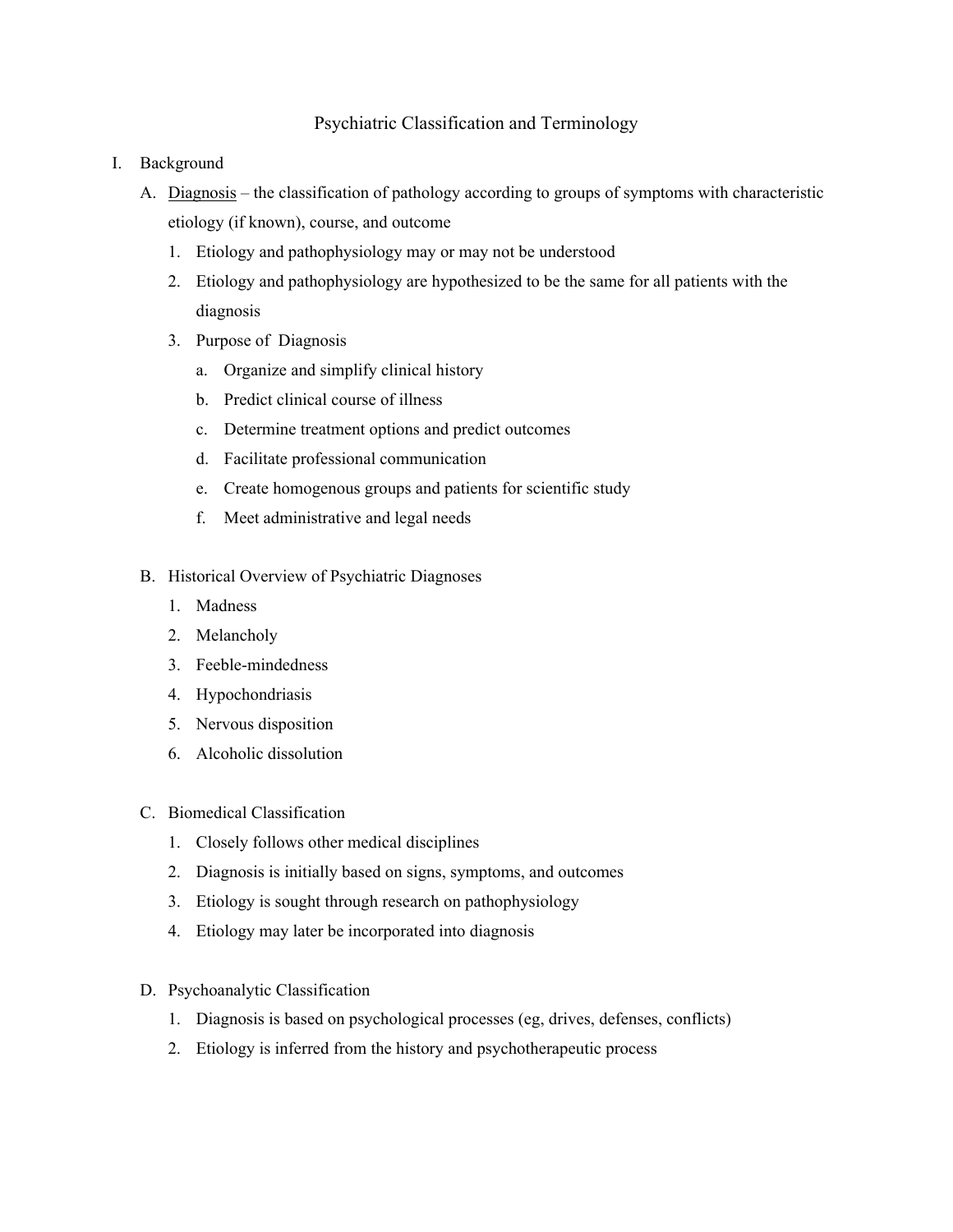### Psychiatric Classification and Terminology

- I. Background
	- A. Diagnosis the classification of pathology according to groups of symptoms with characteristic etiology (if known), course, and outcome
		- 1. Etiology and pathophysiology may or may not be understood
		- 2. Etiology and pathophysiology are hypothesized to be the same for all patients with the diagnosis
		- 3. Purpose of Diagnosis
			- a. Organize and simplify clinical history
			- b. Predict clinical course of illness
			- c. Determine treatment options and predict outcomes
			- d. Facilitate professional communication
			- e. Create homogenous groups and patients for scientific study
			- f. Meet administrative and legal needs
	- B. Historical Overview of Psychiatric Diagnoses
		- 1. Madness
		- 2. Melancholy
		- 3. Feeble-mindedness
		- 4. Hypochondriasis
		- 5. Nervous disposition
		- 6. Alcoholic dissolution
	- C. Biomedical Classification
		- 1. Closely follows other medical disciplines
		- 2. Diagnosis is initially based on signs, symptoms, and outcomes
		- 3. Etiology is sought through research on pathophysiology
		- 4. Etiology may later be incorporated into diagnosis
	- D. Psychoanalytic Classification
		- 1. Diagnosis is based on psychological processes (eg, drives, defenses, conflicts)
		- 2. Etiology is inferred from the history and psychotherapeutic process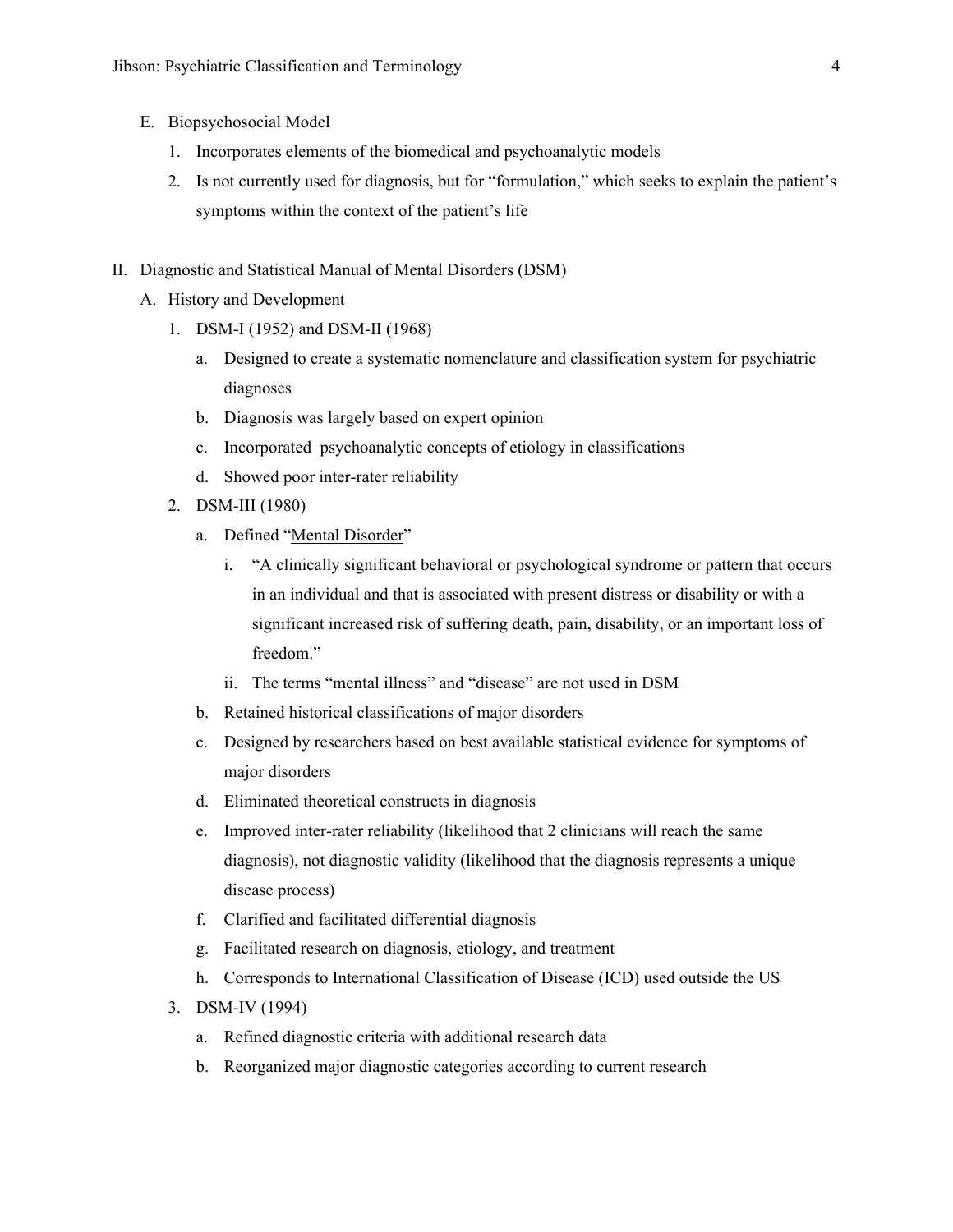- E. Biopsychosocial Model
	- 1. Incorporates elements of the biomedical and psychoanalytic models
	- 2. Is not currently used for diagnosis, but for "formulation," which seeks to explain the patient's symptoms within the context of the patient's life
- II. Diagnostic and Statistical Manual of Mental Disorders (DSM)
	- A. History and Development
		- 1. DSM-I (1952) and DSM-II (1968)
			- a. Designed to create a systematic nomenclature and classification system for psychiatric diagnoses
			- b. Diagnosis was largely based on expert opinion
			- c. Incorporated psychoanalytic concepts of etiology in classifications
			- d. Showed poor inter-rater reliability
		- 2. DSM-III (1980)
			- a. Defined "Mental Disorder"
				- i. "A clinically significant behavioral or psychological syndrome or pattern that occurs in an individual and that is associated with present distress or disability or with a significant increased risk of suffering death, pain, disability, or an important loss of freedom<sup>"</sup>
				- ii. The terms "mental illness" and "disease" are not used in DSM
			- b. Retained historical classifications of major disorders
			- c. Designed by researchers based on best available statistical evidence for symptoms of major disorders
			- d. Eliminated theoretical constructs in diagnosis
			- e. Improved inter-rater reliability (likelihood that 2 clinicians will reach the same diagnosis), not diagnostic validity (likelihood that the diagnosis represents a unique disease process)
			- f. Clarified and facilitated differential diagnosis
			- g. Facilitated research on diagnosis, etiology, and treatment
			- h. Corresponds to International Classification of Disease (ICD) used outside the US
		- 3. DSM-IV (1994)
			- a. Refined diagnostic criteria with additional research data
			- b. Reorganized major diagnostic categories according to current research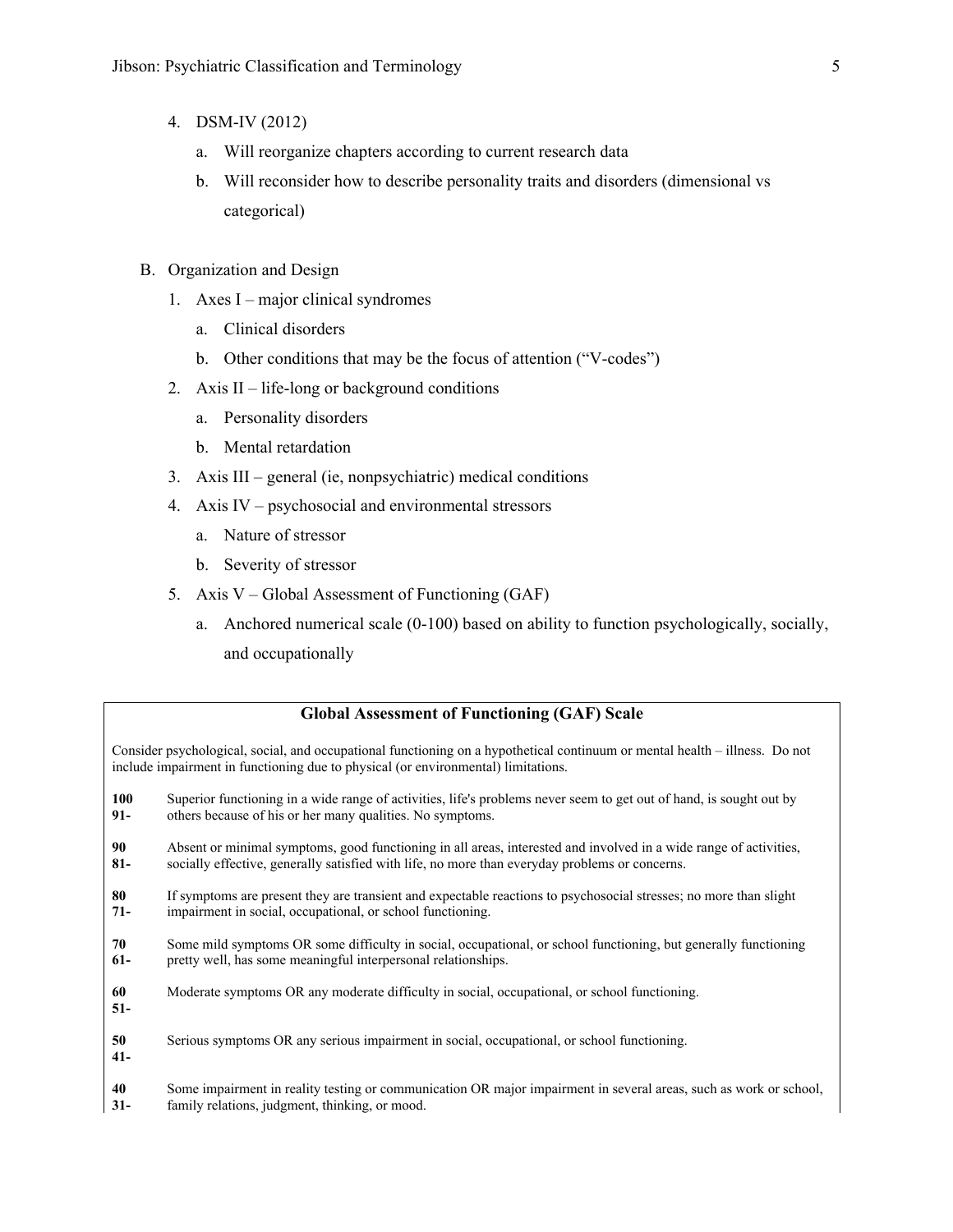- 4. DSM-IV (2012)
	- a. Will reorganize chapters according to current research data
	- b. Will reconsider how to describe personality traits and disorders (dimensional vs categorical)
- B. Organization and Design
	- 1. Axes I major clinical syndromes
		- a. Clinical disorders
		- b. Other conditions that may be the focus of attention ("V-codes")
	- 2. Axis II life-long or background conditions
		- a. Personality disorders
		- b. Mental retardation
	- 3. Axis III general (ie, nonpsychiatric) medical conditions
	- 4. Axis IV psychosocial and environmental stressors
		- a. Nature of stressor
		- b. Severity of stressor
	- 5. Axis V Global Assessment of Functioning (GAF)
		- a. Anchored numerical scale (0-100) based on ability to function psychologically, socially, and occupationally

#### **Global Assessment of Functioning (GAF) Scale**

Consider psychological, social, and occupational functioning on a hypothetical continuum or mental health – illness. Do not include impairment in functioning due to physical (or environmental) limitations.

- **100 91-** Superior functioning in a wide range of activities, life's problems never seem to get out of hand, is sought out by others because of his or her many qualities. No symptoms.
- **90 81-** Absent or minimal symptoms, good functioning in all areas, interested and involved in a wide range of activities, socially effective, generally satisfied with life, no more than everyday problems or concerns.
- **80 71-** If symptoms are present they are transient and expectable reactions to psychosocial stresses; no more than slight impairment in social, occupational, or school functioning.
- **70 61-** Some mild symptoms OR some difficulty in social, occupational, or school functioning, but generally functioning pretty well, has some meaningful interpersonal relationships.
- **60** Moderate symptoms OR any moderate difficulty in social, occupational, or school functioning.
- **51-**
- **50 41-** Serious symptoms OR any serious impairment in social, occupational, or school functioning.
- **40 31-** Some impairment in reality testing or communication OR major impairment in several areas, such as work or school, family relations, judgment, thinking, or mood.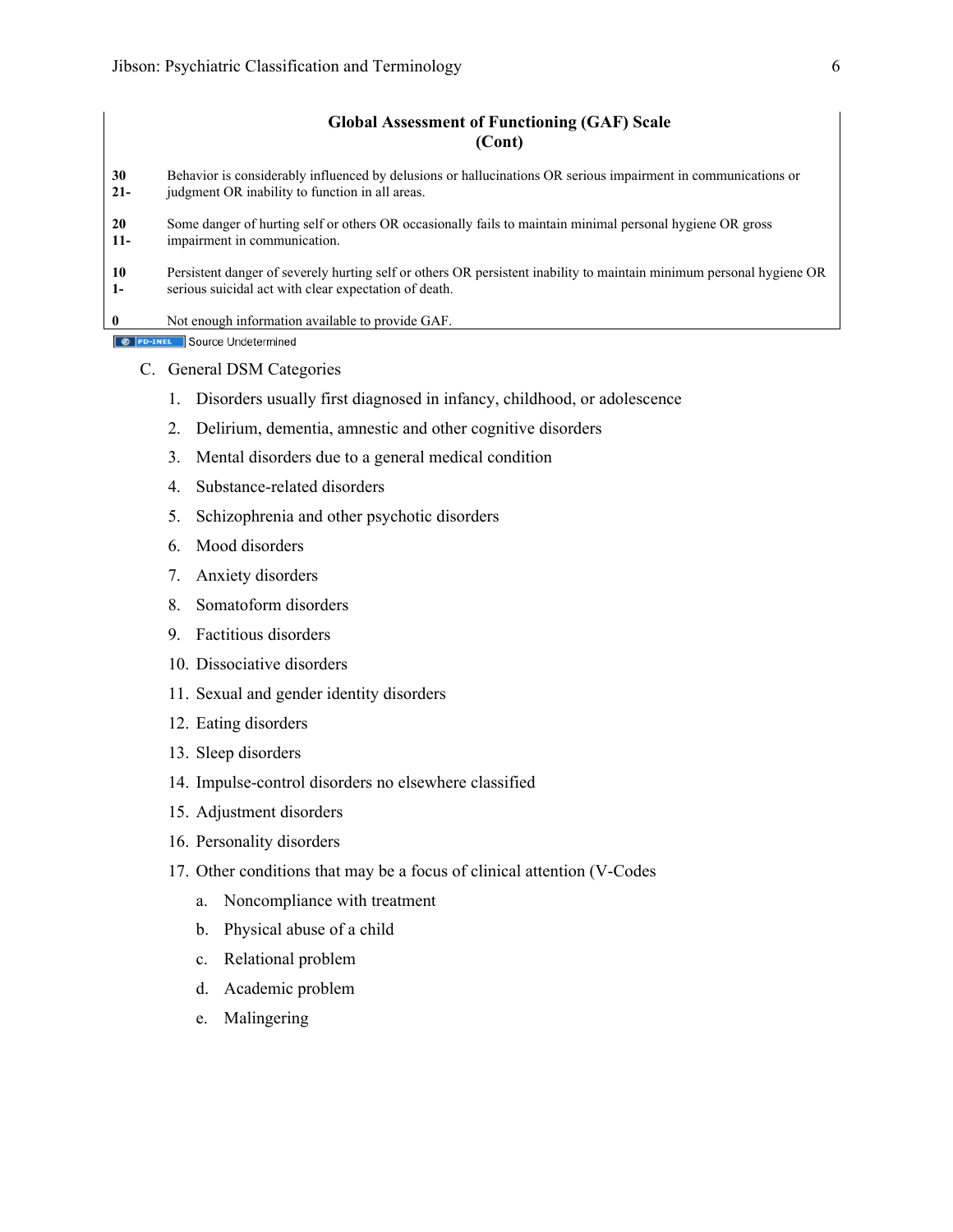#### **Global Assessment of Functioning (GAF) Scale (Cont)**

- **30 21-** Behavior is considerably influenced by delusions or hallucinations OR serious impairment in communications or judgment OR inability to function in all areas.
- **20 11-** Some danger of hurting self or others OR occasionally fails to maintain minimal personal hygiene OR gross impairment in communication.
- **10 1-** Persistent danger of severely hurting self or others OR persistent inability to maintain minimum personal hygiene OR serious suicidal act with clear expectation of death.
- **0** Not enough information available to provide GAF.

**C** PD-INEL Source Undetermined

- C. General DSM Categories
	- 1. Disorders usually first diagnosed in infancy, childhood, or adolescence
	- 2. Delirium, dementia, amnestic and other cognitive disorders
	- 3. Mental disorders due to a general medical condition
	- 4. Substance-related disorders
	- 5. Schizophrenia and other psychotic disorders
	- 6. Mood disorders
	- 7. Anxiety disorders
	- 8. Somatoform disorders
	- 9. Factitious disorders
	- 10. Dissociative disorders
	- 11. Sexual and gender identity disorders
	- 12. Eating disorders
	- 13. Sleep disorders
	- 14. Impulse-control disorders no elsewhere classified
	- 15. Adjustment disorders
	- 16. Personality disorders
	- 17. Other conditions that may be a focus of clinical attention (V-Codes
		- a. Noncompliance with treatment
		- b. Physical abuse of a child
		- c. Relational problem
		- d. Academic problem
		- e. Malingering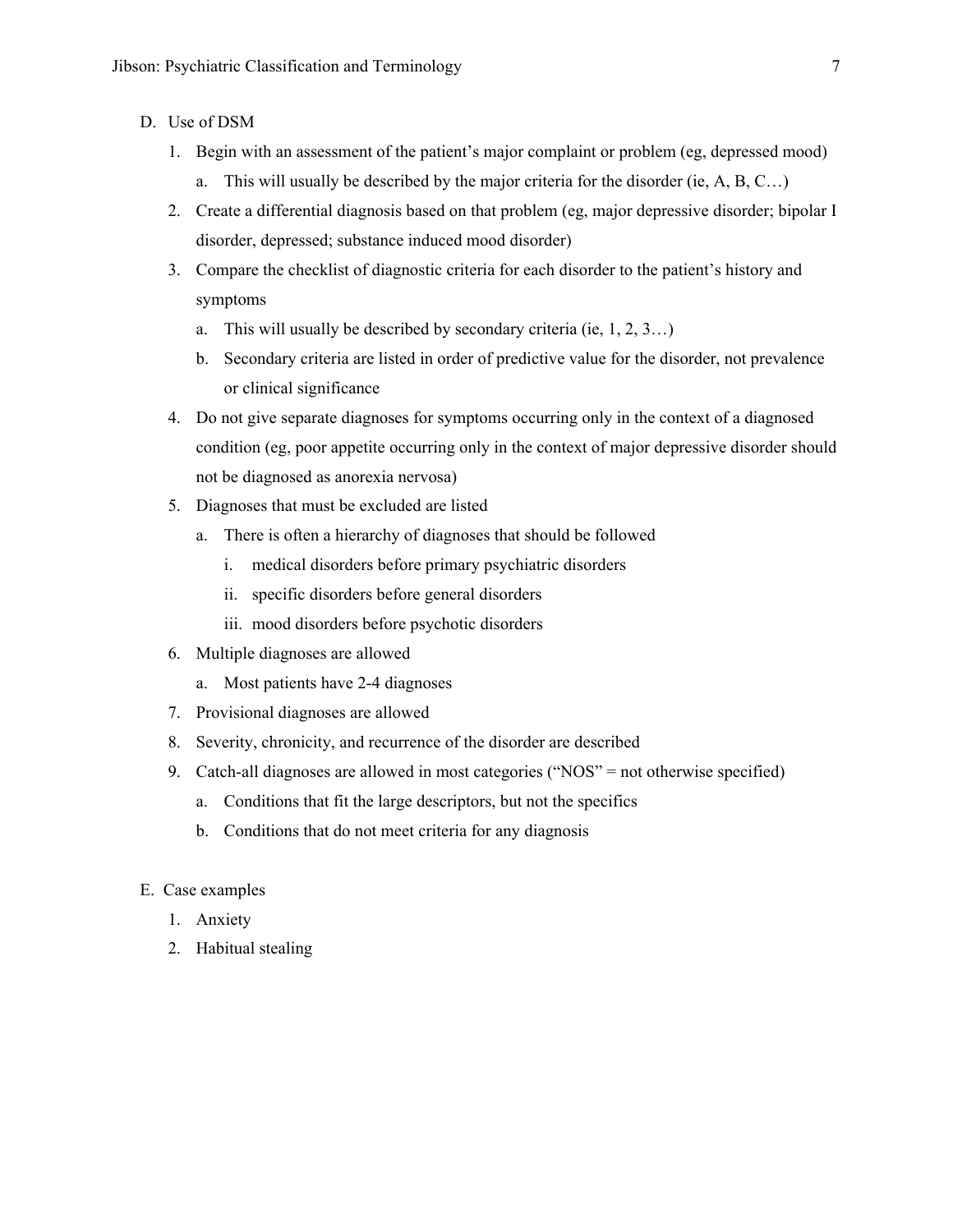- D. Use of DSM
	- 1. Begin with an assessment of the patient's major complaint or problem (eg, depressed mood)
		- a. This will usually be described by the major criteria for the disorder (ie,  $A, B, C...$ )
	- 2. Create a differential diagnosis based on that problem (eg, major depressive disorder; bipolar I disorder, depressed; substance induced mood disorder)
	- 3. Compare the checklist of diagnostic criteria for each disorder to the patient's history and symptoms
		- a. This will usually be described by secondary criteria (ie, 1, 2, 3…)
		- b. Secondary criteria are listed in order of predictive value for the disorder, not prevalence or clinical significance
	- 4. Do not give separate diagnoses for symptoms occurring only in the context of a diagnosed condition (eg, poor appetite occurring only in the context of major depressive disorder should not be diagnosed as anorexia nervosa)
	- 5. Diagnoses that must be excluded are listed
		- a. There is often a hierarchy of diagnoses that should be followed
			- i. medical disorders before primary psychiatric disorders
			- ii. specific disorders before general disorders
			- iii. mood disorders before psychotic disorders
	- 6. Multiple diagnoses are allowed
		- a. Most patients have 2-4 diagnoses
	- 7. Provisional diagnoses are allowed
	- 8. Severity, chronicity, and recurrence of the disorder are described
	- 9. Catch-all diagnoses are allowed in most categories ("NOS" = not otherwise specified)
		- a. Conditions that fit the large descriptors, but not the specifics
		- b. Conditions that do not meet criteria for any diagnosis
- E. Case examples
	- 1. Anxiety
	- 2. Habitual stealing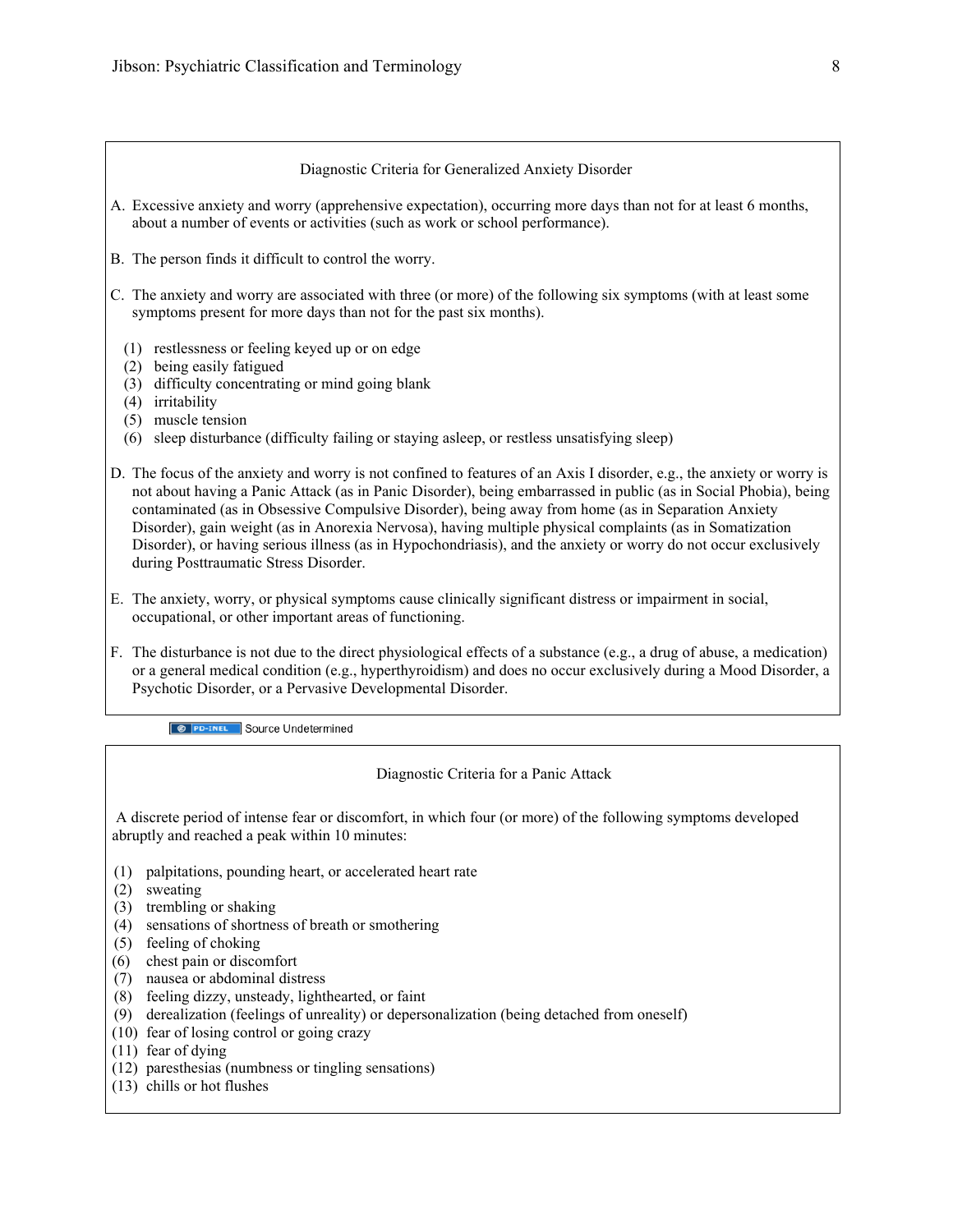#### Diagnostic Criteria for Generalized Anxiety Disorder

- A. Excessive anxiety and worry (apprehensive expectation), occurring more days than not for at least 6 months, about a number of events or activities (such as work or school performance).
- B. The person finds it difficult to control the worry.
- C. The anxiety and worry are associated with three (or more) of the following six symptoms (with at least some symptoms present for more days than not for the past six months).
	- (1) restlessness or feeling keyed up or on edge
	- (2) being easily fatigued
	- (3) difficulty concentrating or mind going blank
	- (4) irritability
	- (5) muscle tension
	- (6) sleep disturbance (difficulty failing or staying asleep, or restless unsatisfying sleep)
- D. The focus of the anxiety and worry is not confined to features of an Axis I disorder, e.g., the anxiety or worry is not about having a Panic Attack (as in Panic Disorder), being embarrassed in public (as in Social Phobia), being contaminated (as in Obsessive Compulsive Disorder), being away from home (as in Separation Anxiety Disorder), gain weight (as in Anorexia Nervosa), having multiple physical complaints (as in Somatization Disorder), or having serious illness (as in Hypochondriasis), and the anxiety or worry do not occur exclusively during Posttraumatic Stress Disorder.
- E. The anxiety, worry, or physical symptoms cause clinically significant distress or impairment in social, occupational, or other important areas of functioning.
- F. The disturbance is not due to the direct physiological effects of a substance (e.g., a drug of abuse, a medication) or a general medical condition (e.g., hyperthyroidism) and does no occur exclusively during a Mood Disorder, a Psychotic Disorder, or a Pervasive Developmental Disorder.

**8** PD-INEL Source Undetermined

Diagnostic Criteria for a Panic Attack

 A discrete period of intense fear or discomfort, in which four (or more) of the following symptoms developed abruptly and reached a peak within 10 minutes:

- (1) palpitations, pounding heart, or accelerated heart rate
- (2) sweating
- (3) trembling or shaking
- (4) sensations of shortness of breath or smothering
- (5) feeling of choking
- (6) chest pain or discomfort
- (7) nausea or abdominal distress
- (8) feeling dizzy, unsteady, lighthearted, or faint
- (9) derealization (feelings of unreality) or depersonalization (being detached from oneself)
- (10) fear of losing control or going crazy
- (11) fear of dying
- (12) paresthesias (numbness or tingling sensations)
- (13) chills or hot flushes